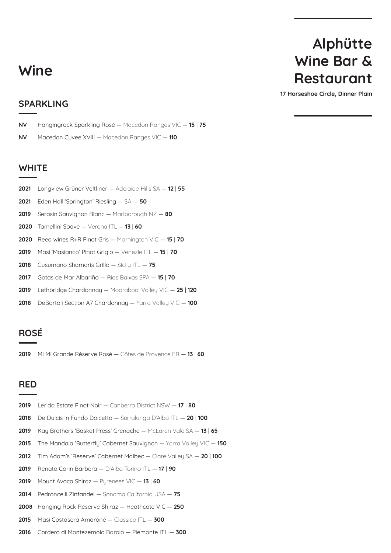### **Wine**

# **Alphütte Wine Bar & Restaurant**

**17 Horseshoe Circle, Dinner Plain**

#### **SPARKLING**

**NV** Hangingrock Sparkling Rosé — Macedon Ranges VIC — **15** | **75**

**NV** Macedon Cuvee XVIII — Macedon Ranges VIC — **110**

#### **WHITE**

- Longview Grüner Veltliner Adelaide Hills SA — **12** | **55**
- Eden Hall 'Springton' Riesling SA **50**
- Serasin Sauvignon Blanc Marlborough NZ **80**
- Tamellini Soave Verona ITL — **13** | **60**
- Reed wines R+R Pinot Gris Mornington VIC — **15** | **70**
- Masi 'Masianco' Pinot Grigio Venezie ITL — **15** | **70**
- Cusumano Shamaris Grillo Sicily ITL — **75**
- Gotas de Mar Albariño Rias Baixas SPA — **15** | **70**
- Lethbridge Chardonnay Moorabool Valley VIC — **25** | **120**
- DeBortoli Section A7 Chardonnay Yarra Valley VIC — **100**

#### **ROSÉ**

Mi Mi Grande Réserve Rosé — Côtes de Provence FR — **13** | **60**

#### **RED**

- Lerida Estate Pinot Noir Canberra District NSW — **17** | **80**
- De Dulcis in Fundo Dolcetto Serralunga D'Alba ITL — **20** | **100**
- Kay Brothers 'Basket Press' Grenache McLaren Vale SA — **13** | **65**
- The Mandala 'Butterfly' Cabernet Sauvignon Yarra Valley VIC — **150**
- Tim Adam's 'Reserve' Cabernet Malbec Clare Valley SA — **20** | **100**
- Renato Corin Barbera D'Alba Torino ITL — **17** | **90**
- Mount Avoca Shiraz Pyrenees VIC — **13** | **60**
- Pedroncelli Zinfandel Sonoma California USA — **75**
- Hanging Rock Reserve Shiraz Heathcote VIC — **250**
- Masi Costasera Amarone Classico ITL — **300**
- Cordero di Montezemolo Barolo Piemonte ITL — **300**